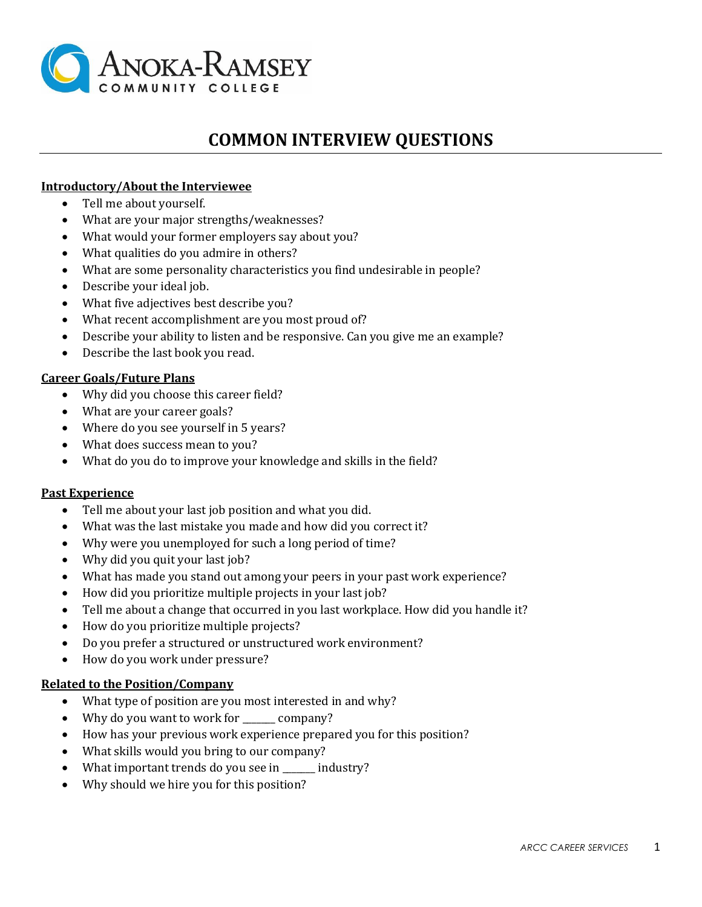

# **COMMON INTERVIEW QUESTIONS**

#### **Introductory/About the Interviewee**

- Tell me about yourself.
- What are your major strengths/weaknesses?
- What would your former employers say about you?
- What qualities do you admire in others?
- What are some personality characteristics you find undesirable in people?
- Describe your ideal job.
- What five adjectives best describe you?
- What recent accomplishment are you most proud of?
- Describe your ability to listen and be responsive. Can you give me an example?
- Describe the last book you read.

#### **Career Goals/Future Plans**

- Why did you choose this career field?
- What are your career goals?
- Where do you see yourself in 5 years?
- What does success mean to you?
- What do you do to improve your knowledge and skills in the field?

#### **Past Experience**

- Tell me about your last job position and what you did.
- What was the last mistake you made and how did you correct it?
- Why were you unemployed for such a long period of time?
- Why did you quit your last job?
- What has made you stand out among your peers in your past work experience?
- How did you prioritize multiple projects in your last job?
- Tell me about a change that occurred in you last workplace. How did you handle it?
- How do you prioritize multiple projects?
- Do you prefer a structured or unstructured work environment?
- How do you work under pressure?

#### **Related to the Position/Company**

- What type of position are you most interested in and why?
- Why do you want to work for \_\_\_\_\_\_\_ company?
- How has your previous work experience prepared you for this position?
- What skills would you bring to our company?
- What important trends do you see in \_\_\_\_\_\_\_ industry?
- Why should we hire you for this position?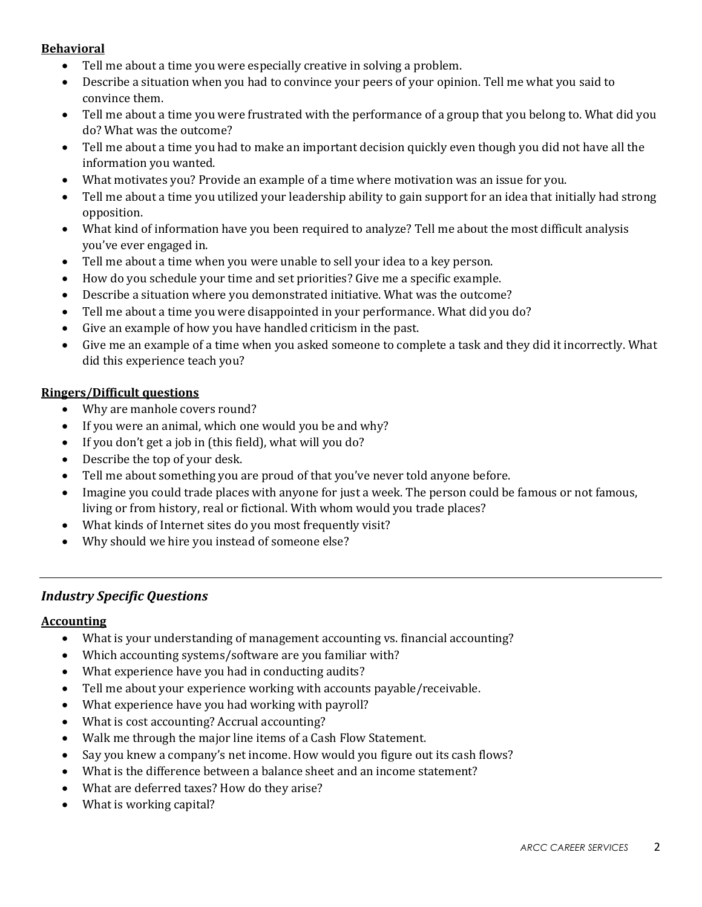#### **Behavioral**

- Tell me about a time you were especially creative in solving a problem.
- Describe a situation when you had to convince your peers of your opinion. Tell me what you said to convince them.
- Tell me about a time you were frustrated with the performance of a group that you belong to. What did you do? What was the outcome?
- Tell me about a time you had to make an important decision quickly even though you did not have all the information you wanted.
- What motivates you? Provide an example of a time where motivation was an issue for you.
- Tell me about a time you utilized your leadership ability to gain support for an idea that initially had strong opposition.
- What kind of information have you been required to analyze? Tell me about the most difficult analysis you've ever engaged in.
- Tell me about a time when you were unable to sell your idea to a key person.
- How do you schedule your time and set priorities? Give me a specific example.
- Describe a situation where you demonstrated initiative. What was the outcome?
- Tell me about a time you were disappointed in your performance. What did you do?
- Give an example of how you have handled criticism in the past.
- Give me an example of a time when you asked someone to complete a task and they did it incorrectly. What did this experience teach you?

## **Ringers/Difficult questions**

- Why are manhole covers round?
- If you were an animal, which one would you be and why?
- If you don't get a job in (this field), what will you do?
- Describe the top of your desk.
- Tell me about something you are proud of that you've never told anyone before.
- Imagine you could trade places with anyone for just a week. The person could be famous or not famous, living or from history, real or fictional. With whom would you trade places?
- What kinds of Internet sites do you most frequently visit?
- Why should we hire you instead of someone else?

# *Industry Specific Questions*

#### **Accounting**

- What is your understanding of management accounting vs. financial accounting?
- Which accounting systems/software are you familiar with?
- What experience have you had in conducting audits?
- Tell me about your experience working with accounts payable/receivable.
- What experience have you had working with payroll?
- What is cost accounting? Accrual accounting?
- Walk me through the major line items of a Cash Flow Statement.
- Say you knew a company's net income. How would you figure out its cash flows?
- What is the difference between a balance sheet and an income statement?
- What are deferred taxes? How do they arise?
- What is working capital?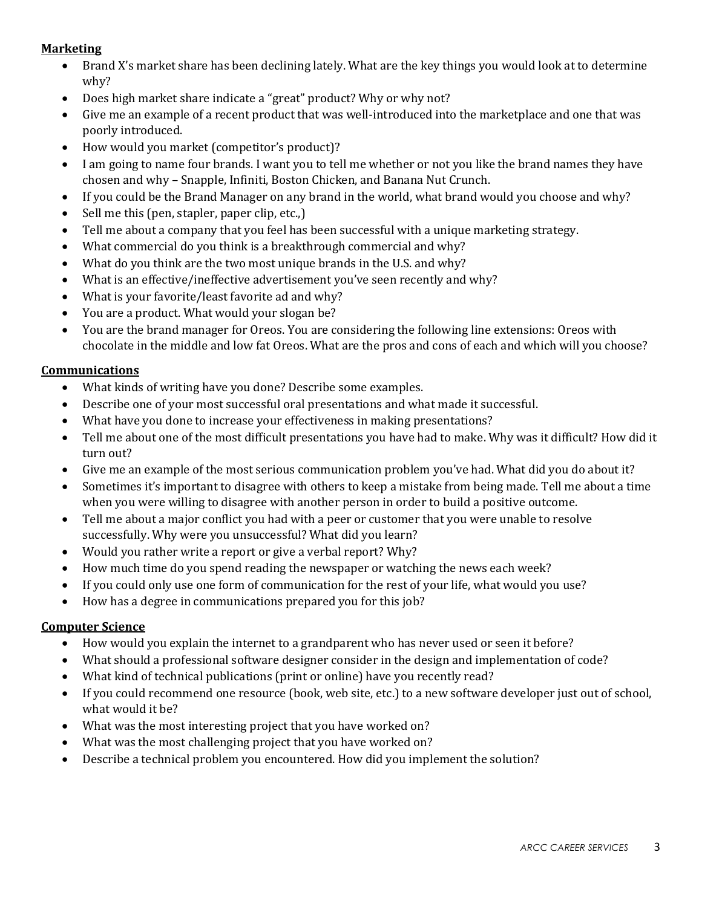## **Marketing**

- Brand X's market share has been declining lately. What are the key things you would look at to determine why?
- Does high market share indicate a "great" product? Why or why not?
- Give me an example of a recent product that was well-introduced into the marketplace and one that was poorly introduced.
- How would you market (competitor's product)?
- I am going to name four brands. I want you to tell me whether or not you like the brand names they have chosen and why – Snapple, Infiniti, Boston Chicken, and Banana Nut Crunch.
- If you could be the Brand Manager on any brand in the world, what brand would you choose and why?
- Sell me this (pen, stapler, paper clip, etc.,)
- Tell me about a company that you feel has been successful with a unique marketing strategy.
- What commercial do you think is a breakthrough commercial and why?
- What do you think are the two most unique brands in the U.S. and why?
- What is an effective/ineffective advertisement you've seen recently and why?
- What is your favorite/least favorite ad and why?
- You are a product. What would your slogan be?
- You are the brand manager for Oreos. You are considering the following line extensions: Oreos with chocolate in the middle and low fat Oreos. What are the pros and cons of each and which will you choose?

## **Communications**

- What kinds of writing have you done? Describe some examples.
- Describe one of your most successful oral presentations and what made it successful.
- What have you done to increase your effectiveness in making presentations?
- Tell me about one of the most difficult presentations you have had to make. Why was it difficult? How did it turn out?
- Give me an example of the most serious communication problem you've had. What did you do about it?
- Sometimes it's important to disagree with others to keep a mistake from being made. Tell me about a time when you were willing to disagree with another person in order to build a positive outcome.
- Tell me about a major conflict you had with a peer or customer that you were unable to resolve successfully. Why were you unsuccessful? What did you learn?
- Would you rather write a report or give a verbal report? Why?
- How much time do you spend reading the newspaper or watching the news each week?
- If you could only use one form of communication for the rest of your life, what would you use?
- How has a degree in communications prepared you for this job?

# **Computer Science**

- How would you explain the internet to a grandparent who has never used or seen it before?
- What should a professional software designer consider in the design and implementation of code?
- What kind of technical publications (print or online) have you recently read?
- If you could recommend one resource (book, web site, etc.) to a new software developer just out of school, what would it be?
- What was the most interesting project that you have worked on?
- What was the most challenging project that you have worked on?
- Describe a technical problem you encountered. How did you implement the solution?